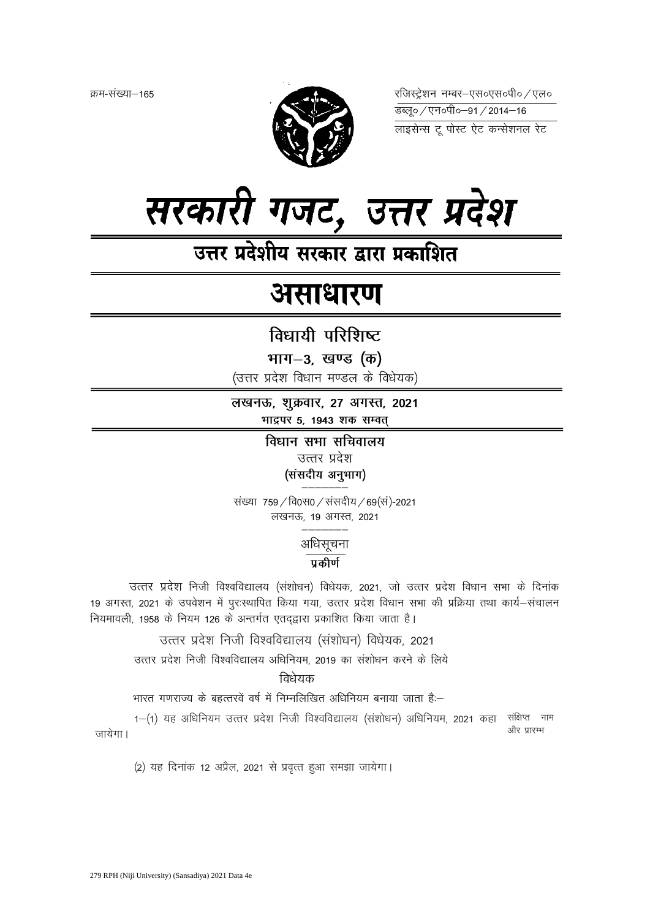क्रम-संख्या–165



रजिस्ट्रेशन नम्बर-एस०एस०पी० / एल० 

लाइसेन्स टू पोस्ट ऐट कन्सेशनल रेट



उत्तर प्रदेशीय सरकार द्वारा प्रकाशित

# असाधारण

# विधायी परिशिष्ट

भाग-3, खण्ड (क)

(उत्तर प्रदेश विधान मण्डल के विधेयक)

लखनऊ, शुक्रवार, 27 अगस्त, 2021 भाद्रपर 5, 1943 शक सम्वत

> विधान सभा सचिवालय उत्तर प्रदेश (संसदीय अनुभाग)

संख्या 759 / वि0स0 / संसदीय / 69 (सं)-2021 लखनऊ, 19 अगस्त, 2021

> अधिसूचना प्रकीर्ण

उत्तर प्रदेश निजी विश्वविद्यालय (संशोधन) विधेयक, 2021, जो उत्तर प्रदेश विधान सभा के दिनांक 19 अगस्त, 2021 के उपवेशन में पुरःस्थापित किया गया, उत्तर प्रदेश विधान सभा की प्रक्रिया तथा कार्य-संचालन नियमावली, 1958 के नियम 126 के अन्तर्गत एतदद्वारा प्रकाशित किया जाता है।

उत्तर प्रदेश निजी विश्वविद्यालय (संशोधन) विधेयक, 2021

उत्तर प्रदेश निजी विश्वविद्यालय अधिनियम, 2019 का संशोधन करने के लिये

### विधेयक

भारत गणराज्य के बहत्तरवें वर्ष में निम्नलिखित अधिनियम बनाया जाता हैं:--

1-(1) यह अधिनियम उत्तर प्रदेश निजी विश्वविद्यालय (संशोधन) अधिनियम, 2021 कहा संक्षिप्त नाम और प्रारम्भ जायेगा।

(2) यह दिनांक 12 अप्रैल, 2021 से प्रवृत्त हुआ समझा जायेगा।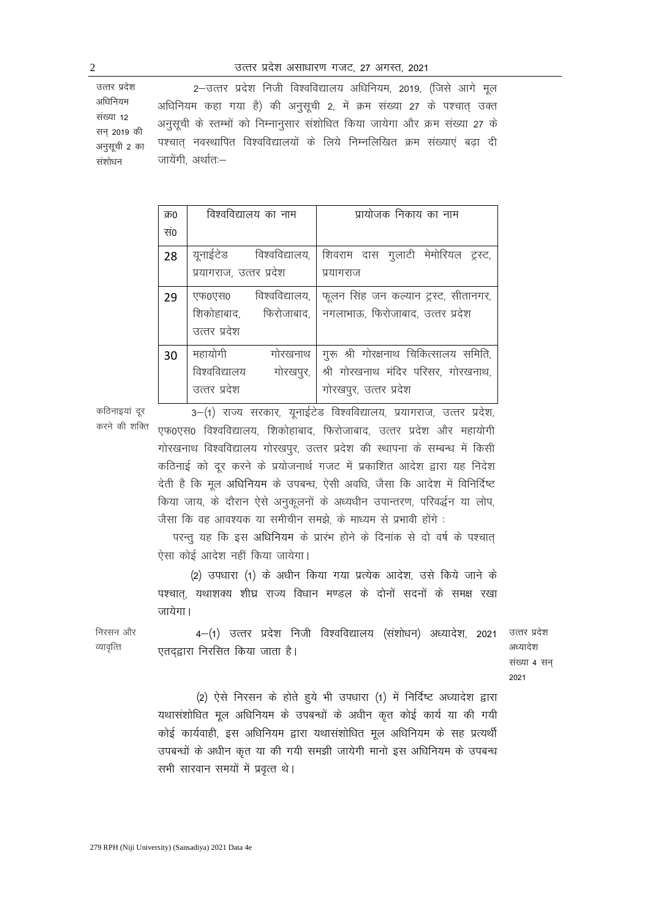उत्तर प्रदेश अधिनियम संख्या 12 सन 2019 की अनुसूची 2 का 2-उत्तर प्रदेश निजी विश्वविद्यालय अधिनियम, 2019, (जिसे आगे मूल अधिनियम कहा गया है) की अनुसूची 2, में क्रम संख्या 27 के पश्चात् उक्त अनुसूची के स्तम्भों को निम्नानुसार संशोधित किया जायेगा और क्रम संख्या 27 के पश्चात नवस्थापित विश्वविद्यालयों के लिये निम्नलिखित क्रम संख्याएं बढ़ा दी जायेंगी, अर्थातः-

| क्र0 | विश्वविद्यालय का नाम       | प्रायोजक निकाय का नाम                                  |
|------|----------------------------|--------------------------------------------------------|
| सं0  |                            |                                                        |
| 28   | यूनाईटेड विश्वविद्यालय,    | शिवराम दास गुलाटी मेमोरियल ट्रस्ट,                     |
|      | प्रयागराज, उत्तर प्रदेश    | प्रयागराज                                              |
| 29   | विश्वविद्यालय,  <br>एफ0एस0 | फूलन सिंह जन कल्यान ट्रस्ट, सीतानगर,                   |
|      |                            | शिकोहाबाद, फिरोजाबाद, नगलाभाऊ, फिरोजाबाद, उत्तर प्रदेश |
|      | उत्तर प्रदेश               |                                                        |
| 30   | महायोगी<br>गोरखनाथ         | गुरू श्री गोरक्षनाथ चिकित्सालय समिति,                  |
|      | विश्वविद्यालय<br>गोरखपुर,  | श्री गोरखनाथ मंदिर परिसर, गोरखनाथ,                     |
|      | उत्तर प्रदेश               | गोरखपुर, उत्तर प्रदेश                                  |

कठिनाइयां दूर करने की शक्ति

3-(1) राज्य सरकार, युनाईटेड विश्वविद्यालय, प्रयागराज, उत्तर प्रदेश, एफ0एस0 विश्वविद्यालय, शिकोहाबाद, फिरोजाबाद, उत्तर प्रदेश और महायोगी गोरखनाथ विश्वविद्यालय गोरखपुर, उत्तर प्रदेश की स्थापना के सम्बन्ध में किसी कठिनाई को दूर करने के प्रयोजनार्थ गजट में प्रकाशित आदेश द्वारा यह निदेश देती है कि मूल अधिनियम के उपबन्ध, ऐसी अवधि, जैसा कि आदेश में विनिर्दिष्ट किया जाय, के दौरान ऐसे अनुकूलनों के अध्यधीन उपान्तरण, परिवर्द्धन या लोप, जैसा कि वह आवश्यक या समीचीन समझे, के माध्यम से प्रभावी होंगे :

परन्तु यह कि इस अधिनियम के प्रारंभ होने के दिनांक से दो वर्ष के पश्चात् ऐसा कोई आदेश नहीं किया जायेगा।

(2) उपधारा (1) के अधीन किया गया प्रत्येक आदेश, उसे किये जाने के पश्चात, यथाशक्य शीघ्र राज्य विधान मण्डल के दोनों सदनों के समक्ष रखा जायेगा।

4-(1) उत्तर प्रदेश निजी विश्वविद्यालय (संशोधन) अध्यादेश, 2021 एतदद्वारा निरसित किया जाता है।

उत्तर प्रदेश अध्यादेश संख्या 4 सन 2021

(2) ऐसे निरसन के होते हुये भी उपधारा (1) में निर्दिष्ट अध्यादेश द्वारा यथासंशोधित मूल अधिनियम के उपबन्धों के अधीन कृत कोई कार्य या की गयी कोई कार्यवाही, इस अधिनियम द्वारा यथासंशोधित मूल अधिनियम के सह प्रत्यर्थी उपबन्धों के अधीन कृत या की गयी समझी जायेगी मानो इस अधिनियम के उपबन्ध सभी सारवान समयों में प्रवृत्त थे।

संशोधन

निरसन और व्यावृत्ति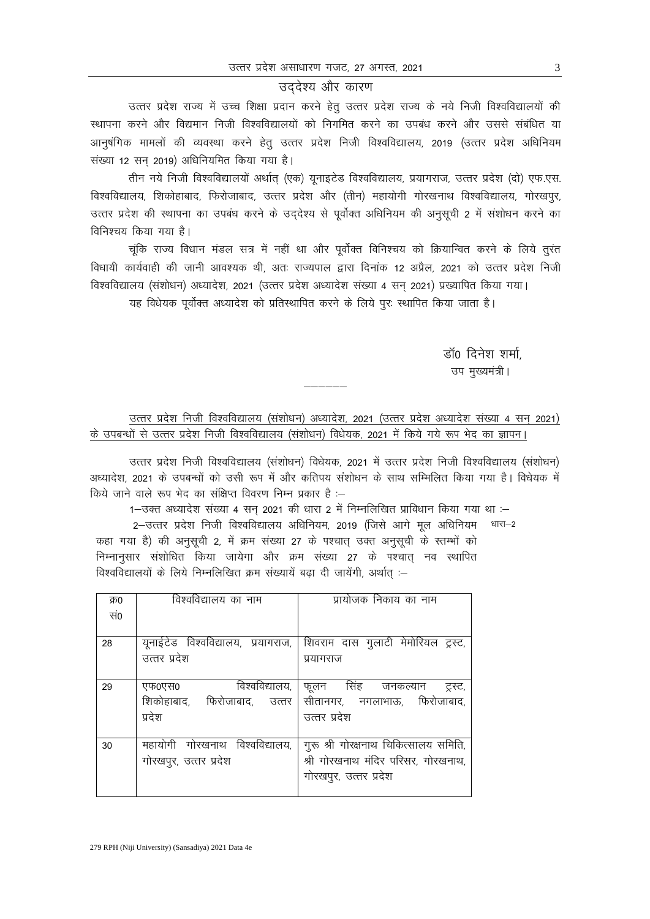#### उददेश्य और कारण

उत्तर प्रदेश राज्य में उच्च शिक्षा प्रदान करने हेत उत्तर प्रदेश राज्य के नये निजी विश्वविद्यालयों की स्थापना करने और विद्यमान निजी विश्वविद्यालयों को निगमित करने का उपबंध करने और उससे संबंधित या आनुषंगिक मामलों की व्यवस्था करने हेतु उत्तर प्रदेश निजी विश्वविद्यालय, 2019 (उत्तर प्रदेश अधिनियम संख्या 12 सन् 2019) अधिनियमित किया गया है।

तीन नये निजी विश्वविद्यालयों अर्थात् (एक) यूनाइटेड विश्वविद्यालय, प्रयागराज, उत्तर प्रदेश (दो) एफ.एस. विश्वविद्यालय, शिकोहाबाद, फिरोजाबाद, उत्तर प्रदेश और (तीन) महायोगी गोरखनाथ विश्वविद्यालय, गोरखपुर, उत्तर प्रदेश की स्थापना का उपबंध करने के उददेश्य से पूर्वोक्त अधिनियम की अनुसूची 2 में संशोधन करने का विनिश्चय किया गया है।

चूंकि राज्य विधान मंडल सत्र में नहीं था और पूर्वोक्त विनिश्चय को क्रियान्वित करने के लिये तुरंत विधायी कार्यवाही की जानी आवश्यक थी, अतः राज्यपाल द्वारा दिनांक 12 अप्रैल, 2021 को उत्तर प्रदेश निजी विश्वविद्यालय (संशोधन) अध्यादेश, 2021 (उत्तर प्रदेश अध्यादेश संख्या 4 सन 2021) प्रख्यापित किया गया।

यह विधेयक पूर्वोक्त अध्यादेश को प्रतिस्थापित करने के लिये पूरः स्थापित किया जाता है।

डॉ0 दिनेश शर्मा उप मख्यमंत्री।

## उत्तर प्रदेश निजी विश्वविद्यालय (संशोधन) अध्यादेश, 2021 (उत्तर प्रदेश अध्यादेश संख्या 4 सन् 2021) के उपबन्धों से उत्तर प्रदेश निजी विश्वविद्यालय (संशोधन) विधेयक, 2021 में किये गये रूप भेद का ज्ञापन।

&&&&&&

उत्तर प्रदेश निजी विश्वविद्यालय (संशोधन) विधेयक, 2021 में उत्तर प्रदेश निजी विश्वविद्यालय (संशोधन) अध्यादेश, 2021 के उपबन्धों को उसी रूप में और कतिपय संशोधन के साथ सम्मिलित किया गया है। विधेयक में किये जाने वाले रूप भेद का संक्षिप्त विवरण निम्न प्रकार है :–

1-उक्त अध्यादेश संख्या 4 सन 2021 की धारा 2 में निम्नलिखित प्राविधान किया गया था :-

2-उत्तर प्रदेश निजी विश्वविद्यालय अधिनियम, 2019 (जिसे आगे मूल अधिनियम कहा गया है) की अनुसूची 2, में क्रम संख्या 27 के पश्चात् उक्त अनुसूची के स्तम्भों को निम्नानुसार संशोधित किया जायेगा और क्रम संख्या 27 के पश्चात नव स्थापित विश्वविद्यालयों के लिये निम्नलिखित क्रम संख्यायें बढ़ा दी जायेंगी, अर्थात :-धारा $-2$ 

| क्र0 | विश्वविद्यालय का नाम           | प्रायोजक निकाय का नाम                                                 |
|------|--------------------------------|-----------------------------------------------------------------------|
| सं0  |                                |                                                                       |
|      |                                |                                                                       |
| 28   |                                | यूनाईटेड विश्वविद्यालय, प्रयागराज, शिवराम दास गुलाटी मेमोरियल ट्रस्ट, |
|      | उत्तर प्रदेश                   | प्रयागराज                                                             |
|      |                                |                                                                       |
| 29   | विश्वविद्यालय,<br>एफ0एस0       | फूलन सिंह जनकल्यान ट्रस्ट,                                            |
|      | शिकोहाबाद, फिरोजाबाद, उत्तर    | सीतानगर, नगलाभाऊ, फिरोजाबाद,                                          |
|      | प्रदेश                         | उत्तर प्रदेश                                                          |
|      |                                |                                                                       |
| 30   | महायोगी गोरखनाथ विश्वविद्यालय, | गुरू श्री गोरक्षनाथ चिकित्सालय समिति,                                 |
|      | गोरखपुर, उत्तर प्रदेश          | श्री गोरखनाथ मंदिर परिसर, गोरखनाथ,                                    |
|      |                                | गोरखपुर, उत्तर प्रदेश                                                 |
|      |                                |                                                                       |
|      |                                |                                                                       |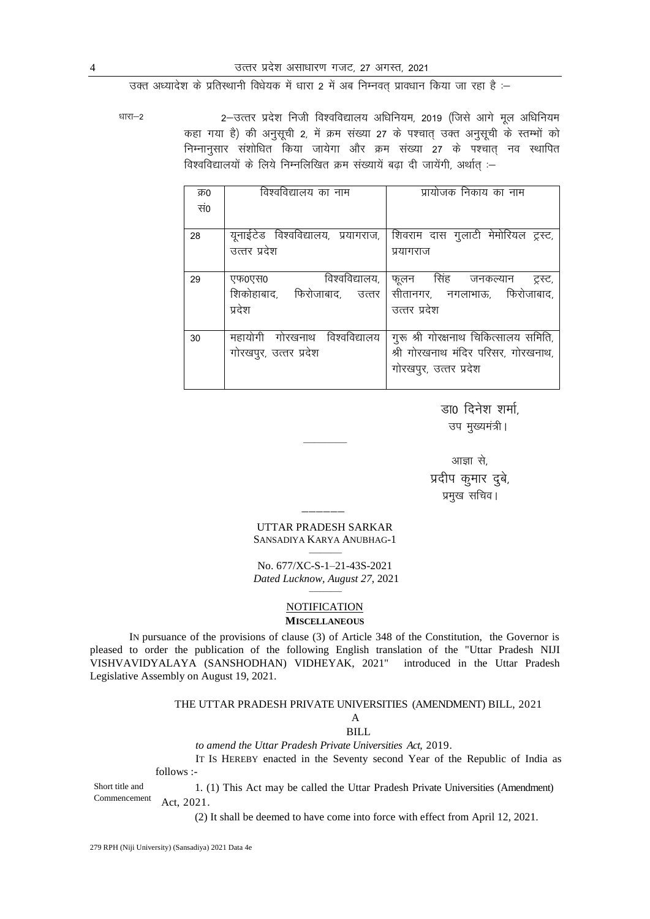उक्त अध्यादेश के प्रतिस्थानी विधेयक में धारा 2 में अब निम्नवत प्रावधान किया जा रहा है :-

धारा–2

2-उत्तर प्रदेश निजी विश्वविद्यालय अधिनियम, 2019 (जिसे आगे मूल अधिनियम कहा गया है) की अनुसूची 2, में क्रम संख्या 27 के पश्चात उक्त अनुसूची के स्तम्भों को निम्नानुसार संशोधित किया जायेगा और क्रम संख्या 27 के पश्चात् नव स्थापित विश्वविद्यालयों के लिये निम्नलिखित क्रम संख्यायें बढ़ा दी जायेंगी, अर्थात :-

| क्र0 | विश्वविद्यालय का नाम               | प्रायोजक निकाय का नाम                 |
|------|------------------------------------|---------------------------------------|
| सं0  |                                    |                                       |
|      |                                    |                                       |
| 28   | यूनाईटेड विश्वविद्यालय, प्रयागराज, | शिवराम दास गुलाटी मेमोरियल ट्रस्ट,    |
|      | उत्तर प्रदेश                       | प्रयागराज                             |
|      |                                    |                                       |
| 29   | विश्वविद्यालय,<br>एफ0एस0           | फूलन सिंह जनकल्यान<br>ट्रस्ट,         |
|      | शिकोहाबाद, फिरोजाबाद, उत्तर        | सीतानगर, नगलाभाऊ, फिरोजाबाद,          |
|      | प्रदेश                             | उत्तर प्रदेश                          |
|      |                                    |                                       |
| 30   | महायोगी गोरखनाथ विश्वविद्यालय      | गुरू श्री गोरक्षनाथ चिकित्सालय समिति, |
|      | गोरखपुर, उत्तर प्रदेश              | श्री गोरखनाथ मंदिर परिसर, गोरखनाथ,    |
|      |                                    | गोरखपुर, उत्तर प्रदेश                 |
|      |                                    |                                       |

डा0 दिनेश शर्मा, उप मुख्यमंत्री।

आज्ञा से, प्रदीप कुमार दुबे, प्रमुख सचिव।

UTTAR PRADESH SARKAR SANSADIYA KARYA ANUBHAG-1

No. 677/XC-S-1-21-43S-2021 Dated Lucknow, August 27, 2021

#### **NOTIFICATION**

#### **MISCELLANEOUS**

IN pursuance of the provisions of clause (3) of Article 348 of the Constitution, the Governor is pleased to order the publication of the following English translation of the "Uttar Pradesh NIJI VISHVAVIDYALAYA (SANSHODHAN) VIDHEYAK, 2021" introduced in the Uttar Pradesh Legislative Assembly on August 19, 2021.

#### THE UTTAR PRADESH PRIVATE UNIVERSITIES (AMENDMENT) BILL, 2021

#### $\overline{A}$

#### **BILL**

to amend the Uttar Pradesh Private Universities Act, 2019.

IT Is HEREBY enacted in the Seventy second Year of the Republic of India as follows :-

Short title and 1. (1) This Act may be called the Uttar Pradesh Private Universities (Amendment) Commencement Act, 2021.

(2) It shall be deemed to have come into force with effect from April 12, 2021.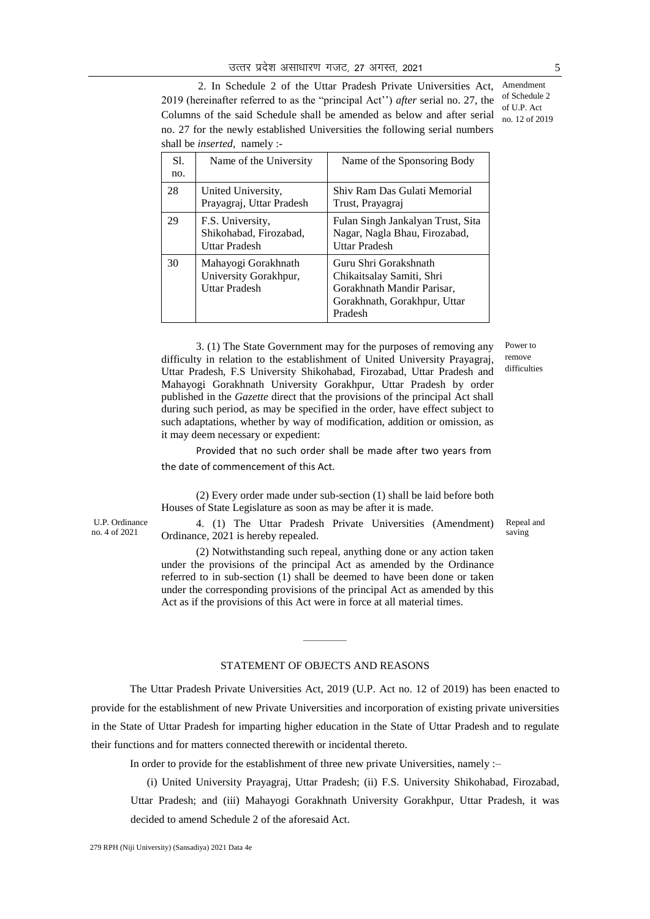2. In Schedule 2 of the Uttar Pradesh Private Universities Act, Amendment 2019 (hereinafter referred to as the "principal Act") *after* serial no. 27, the Columns of the said Schedule shall be amended as below and after serial no. 27 for the newly established Universities the following serial numbers shall be *inserted,* namely :-

| S1.<br>no. | Name of the University                                               | Name of the Sponsoring Body                                                                                                 |
|------------|----------------------------------------------------------------------|-----------------------------------------------------------------------------------------------------------------------------|
| 28         | United University,<br>Prayagraj, Uttar Pradesh                       | Shiv Ram Das Gulati Memorial<br>Trust, Prayagraj                                                                            |
| 29         | F.S. University,<br>Shikohabad, Firozabad,<br>Uttar Pradesh          | Fulan Singh Jankalyan Trust, Sita<br>Nagar, Nagla Bhau, Firozabad,<br><b>Uttar Pradesh</b>                                  |
| 30         | Mahayogi Gorakhnath<br>University Gorakhpur,<br><b>Uttar Pradesh</b> | Guru Shri Gorakshnath<br>Chikaitsalay Samiti, Shri<br>Gorakhnath Mandir Parisar,<br>Gorakhnath, Gorakhpur, Uttar<br>Pradesh |

3. (1) The State Government may for the purposes of removing any difficulty in relation to the establishment of United University Prayagraj, Uttar Pradesh, F.S University Shikohabad, Firozabad, Uttar Pradesh and Mahayogi Gorakhnath University Gorakhpur, Uttar Pradesh by order published in the *Gazette* direct that the provisions of the principal Act shall during such period, as may be specified in the order, have effect subject to such adaptations, whether by way of modification, addition or omission, as it may deem necessary or expedient:

Provided that no such order shall be made after two years from the date of commencement of this Act.

(2) Every order made under sub-section (1) shall be laid before both Houses of State Legislature as soon as may be after it is made.

4. (1) The Uttar Pradesh Private Universities (Amendment) Ordinance, 2021 is hereby repealed.

(2) Notwithstanding such repeal, anything done or any action taken under the provisions of the principal Act as amended by the Ordinance referred to in sub-section (1) shall be deemed to have been done or taken under the corresponding provisions of the principal Act as amended by this Act as if the provisions of this Act were in force at all material times.

#### STATEMENT OF OBJECTS AND REASONS

————

The Uttar Pradesh Private Universities Act, 2019 (U.P. Act no. 12 of 2019) has been enacted to provide for the establishment of new Private Universities and incorporation of existing private universities in the State of Uttar Pradesh for imparting higher education in the State of Uttar Pradesh and to regulate their functions and for matters connected therewith or incidental thereto.

In order to provide for the establishment of three new private Universities, namely :–

(i) United University Prayagraj, Uttar Pradesh; (ii) F.S. University Shikohabad, Firozabad, Uttar Pradesh; and (iii) Mahayogi Gorakhnath University Gorakhpur, Uttar Pradesh, it was decided to amend Schedule 2 of the aforesaid Act.

U.P. Ordinance no. 4 of 2021

Power to remove difficulties

of Schedule 2 of U.P. Act no. 12 of 2019

#### Repeal and saving